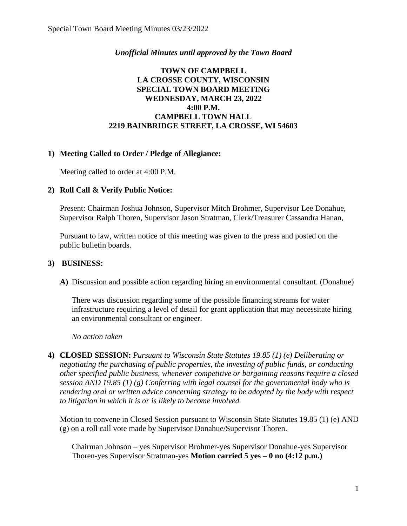### *Unofficial Minutes until approved by the Town Board*

## **TOWN OF CAMPBELL LA CROSSE COUNTY, WISCONSIN SPECIAL TOWN BOARD MEETING WEDNESDAY, MARCH 23, 2022 4:00 P.M. CAMPBELL TOWN HALL 2219 BAINBRIDGE STREET, LA CROSSE, WI 54603**

## **1) Meeting Called to Order / Pledge of Allegiance:**

Meeting called to order at 4:00 P.M.

## **2) Roll Call & Verify Public Notice:**

Present: Chairman Joshua Johnson, Supervisor Mitch Brohmer, Supervisor Lee Donahue, Supervisor Ralph Thoren, Supervisor Jason Stratman, Clerk/Treasurer Cassandra Hanan,

Pursuant to law, written notice of this meeting was given to the press and posted on the public bulletin boards.

#### **3) BUSINESS:**

**A)** Discussion and possible action regarding hiring an environmental consultant. (Donahue)

There was discussion regarding some of the possible financing streams for water infrastructure requiring a level of detail for grant application that may necessitate hiring an environmental consultant or engineer.

*No action taken*

**4) CLOSED SESSION:** *Pursuant to Wisconsin State Statutes 19.85 (1) (e) Deliberating or negotiating the purchasing of public properties, the investing of public funds, or conducting other specified public business, whenever competitive or bargaining reasons require a closed session AND 19.85 (1) (g) Conferring with legal counsel for the governmental body who is rendering oral or written advice concerning strategy to be adopted by the body with respect to litigation in which it is or is likely to become involved.*

Motion to convene in Closed Session pursuant to Wisconsin State Statutes 19.85 (1) (e) AND (g) on a roll call vote made by Supervisor Donahue/Supervisor Thoren.

Chairman Johnson – yes Supervisor Brohmer-yes Supervisor Donahue-yes Supervisor Thoren-yes Supervisor Stratman-yes **Motion carried 5 yes – 0 no (4:12 p.m.)**